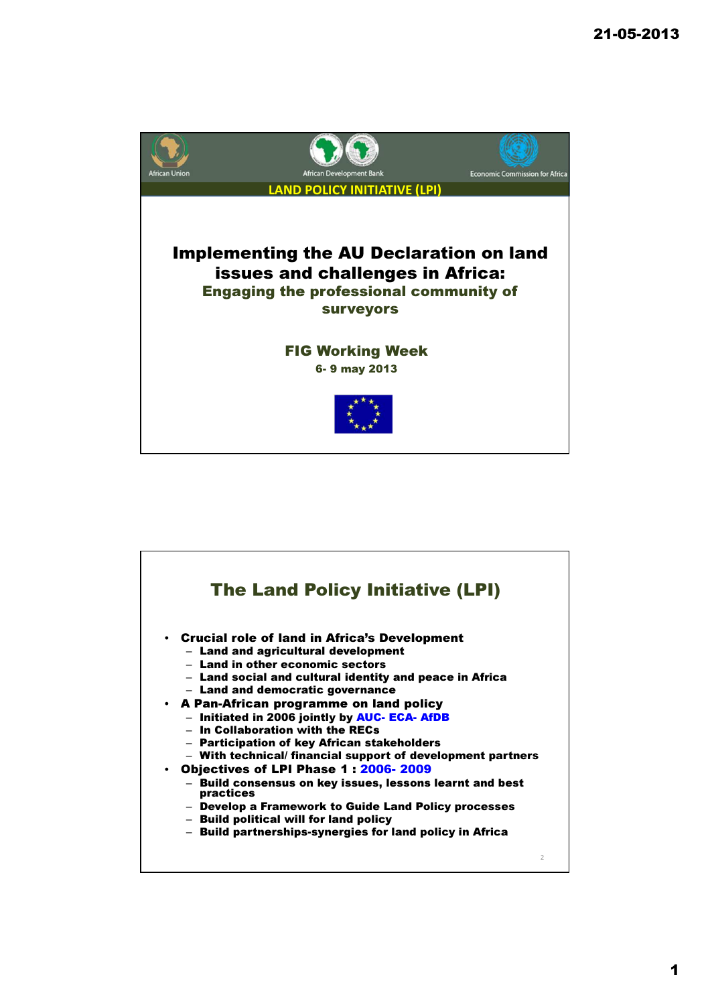

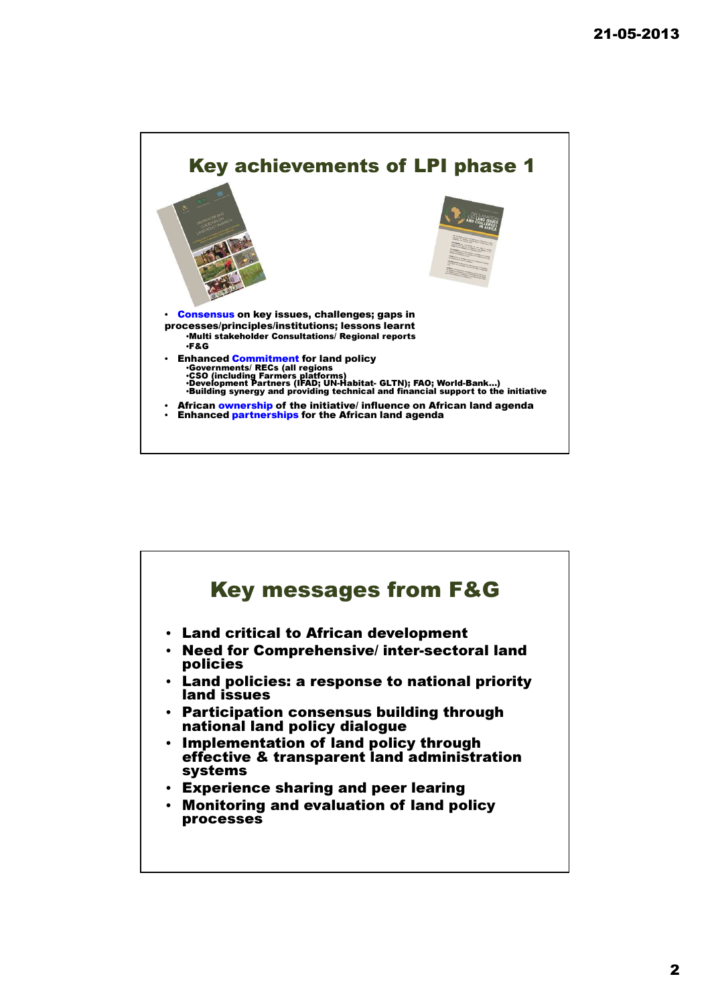

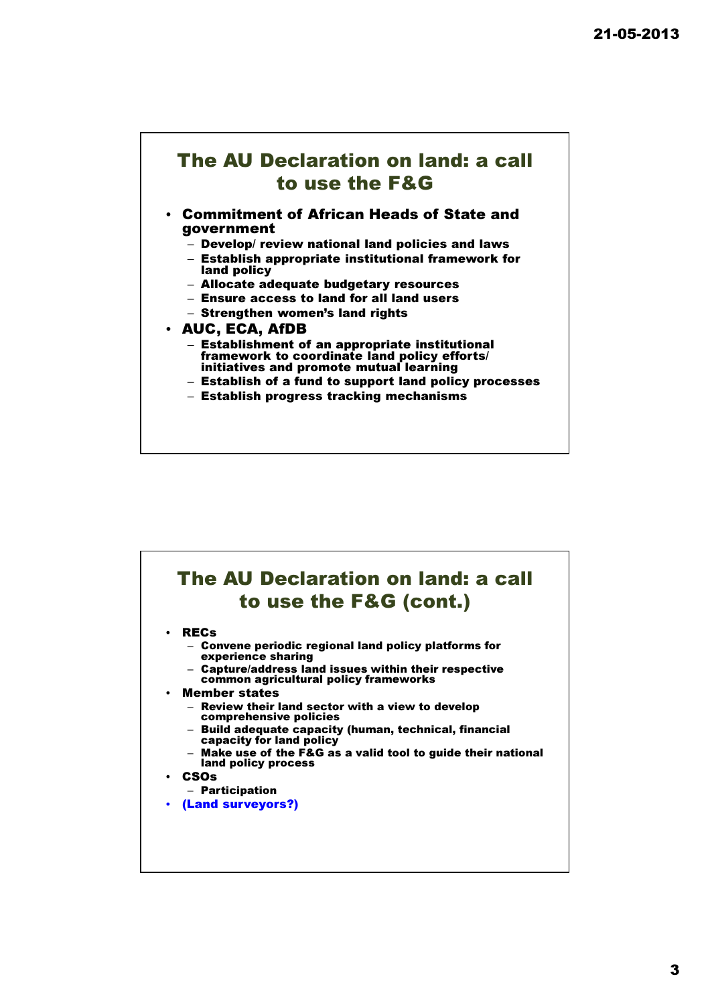## The AU Declaration on land: a call to use the F&G

## • Commitment of African Heads of State and government

- Develop/ review national land policies and laws
- Establish appropriate institutional framework for land policy
- Allocate adequate budgetary resources
- Ensure access to land for all land users
- Strengthen women's land rights

## • AUC, ECA, AfDB

- Establishment of an appropriate institutional framework to coordinate land policy efforts/ initiatives and promote mutual learning
- Establish of a fund to support land policy processes
- Establish progress tracking mechanisms

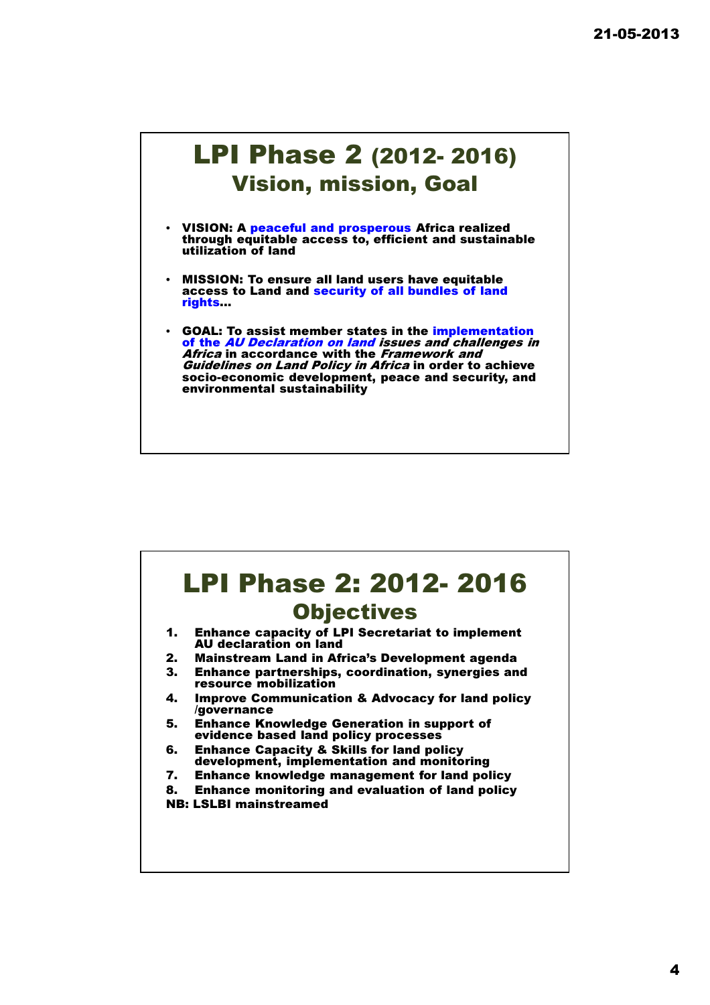## LPI Phase 2 (2012- 2016) Vision, mission, Goal

- VISION: A peaceful and prosperous Africa realized through equitable access to, efficient and sustainable utilization of land
- MISSION: To ensure all land users have equitable access to Land and security of all bundles of land rights…
- GOAL: To assist member states in the implementation of the AU Declaration on land issues and challenges in Africa in accordance with the Framework and Guidelines on Land Policy in Africa in order to achieve socio-economic development, peace and security, and environmental sustainability

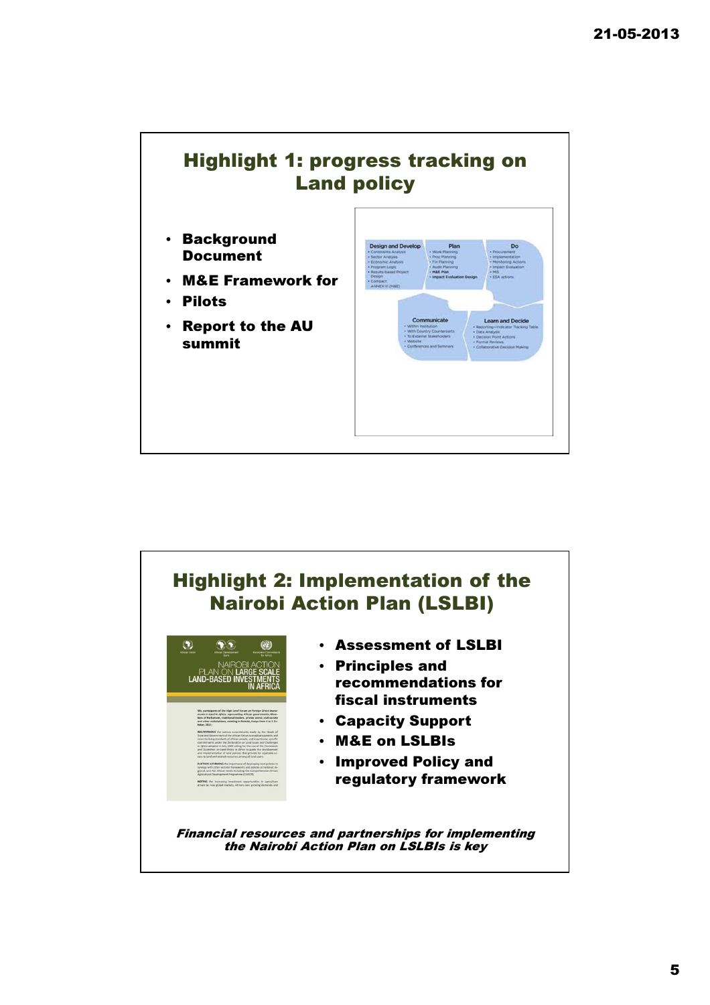

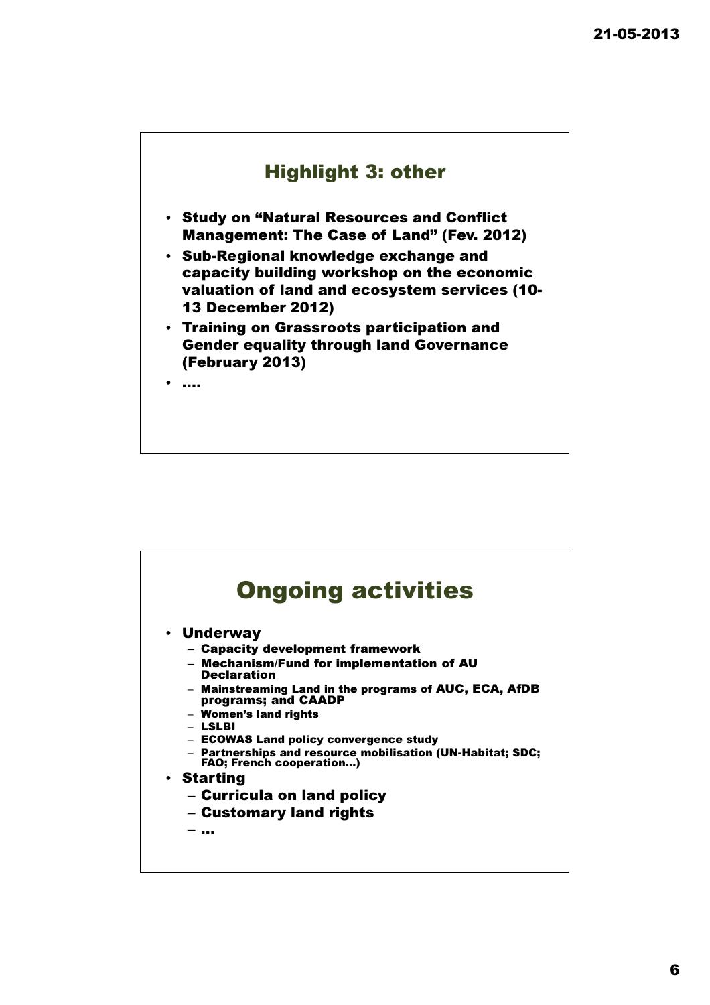

- Study on "Natural Resources and Conflict Management: The Case of Land" (Fev. 2012)
- Sub-Regional knowledge exchange and capacity building workshop on the economic valuation of land and ecosystem services (10- 13 December 2012)
- Training on Grassroots participation and Gender equality through land Governance (February 2013)

• ….

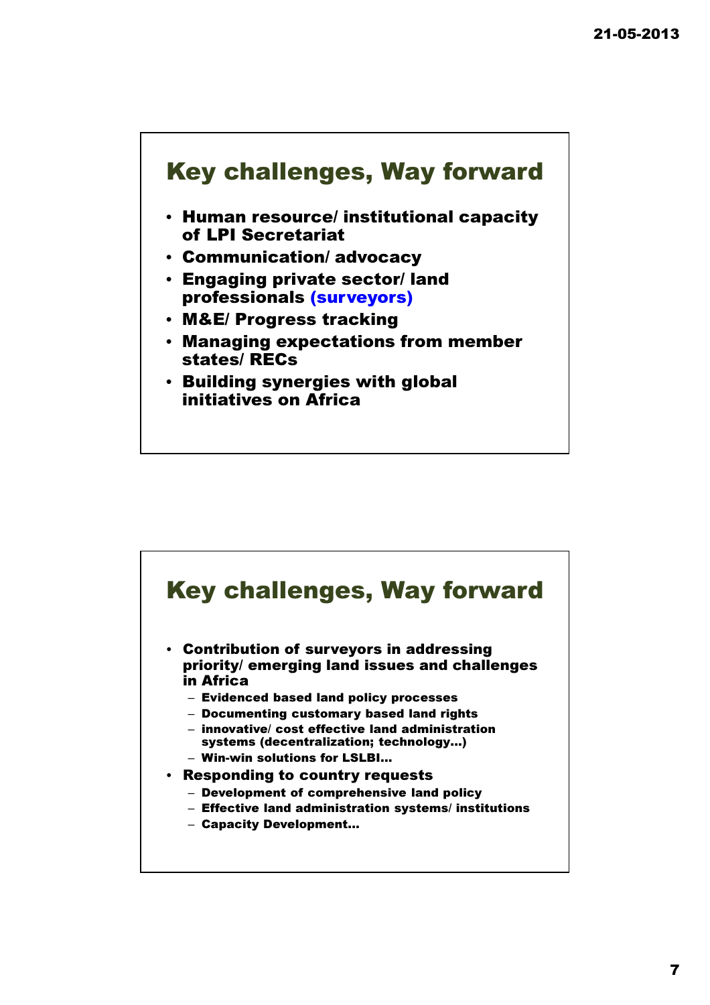